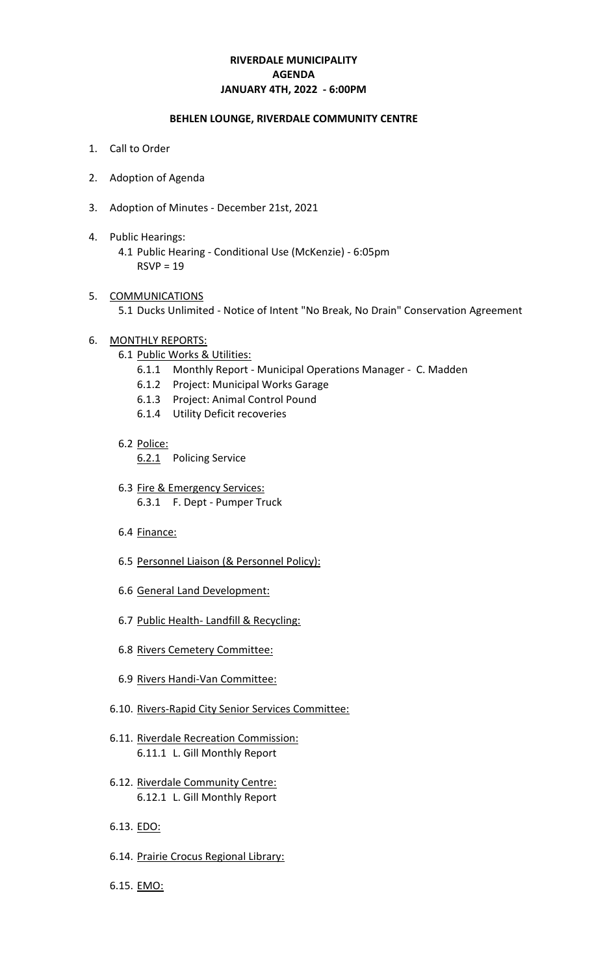# **RIVERDALE MUNICIPALITY JANUARY 4TH, 2022 - 6:00PM AGENDA**

### **BEHLEN LOUNGE, RIVERDALE COMMUNITY CENTRE**

- 1. Call to Order
- 2. Adoption of Agenda
- 3. Adoption of Minutes December 21st, 2021
- 4. Public Hearings: 4.1 Public Hearing - Conditional Use (McKenzie) - 6:05pm  $RSVP = 19$
- 5. COMMUNICATIONS 5.1 Ducks Unlimited - Notice of Intent "No Break, No Drain" Conservation Agreement
- 6. MONTHLY REPORTS:
	- 6.1 Public Works & Utilities:
		- 6.1.1 Monthly Report Municipal Operations Manager C. Madden
		- 6.1.2 Project: Municipal Works Garage
		- 6.1.3 Project: Animal Control Pound
		- 6.1.4 Utility Deficit recoveries
	- 6.2 Police:
		- 6.2.1 Policing Service
	- 6.3 Fire & Emergency Services: 6.3.1 F. Dept - Pumper Truck
	- 6.4 Finance:
	- 6.5 Personnel Liaison (& Personnel Policy):
	- 6.6 General Land Development:
	- 6.7 Public Health- Landfill & Recycling:
	- 6.8 Rivers Cemetery Committee:
	- 6.9 Rivers Handi-Van Committee:
	- 6.10. Rivers-Rapid City Senior Services Committee:
	- 6.11. Riverdale Recreation Commission: 6.11.1 L. Gill Monthly Report
	- 6.12. Riverdale Community Centre: 6.12.1 L. Gill Monthly Report
	- 6.13. EDO:
	- 6.14. Prairie Crocus Regional Library:
	- 6.15. EMO: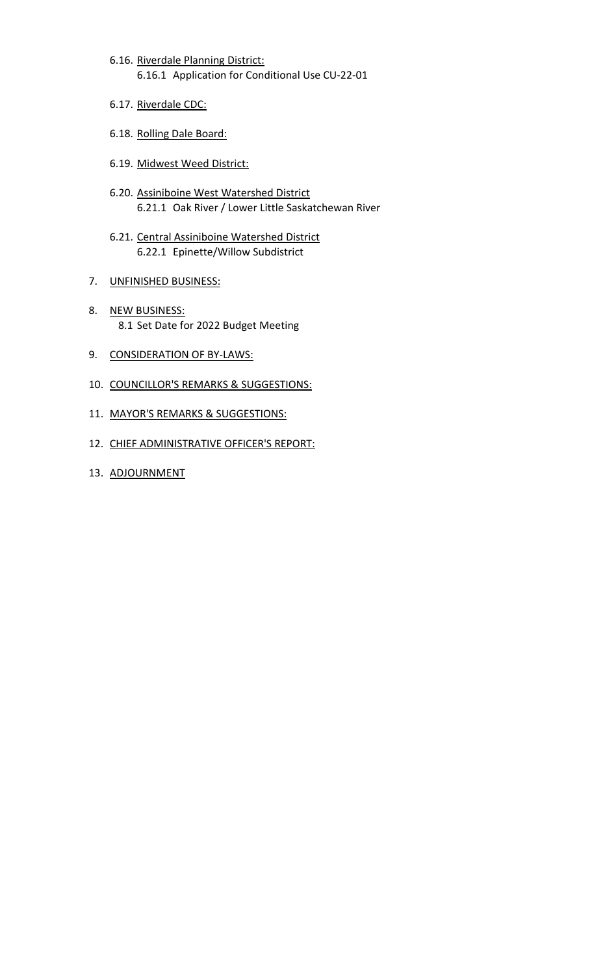- 6.16. Riverdale Planning District: 6.16.1 Application for Conditional Use CU-22-01
- 6.17. Riverdale CDC:
- 6.18. Rolling Dale Board:
- 6.19. Midwest Weed District:
- 6.20. Assiniboine West Watershed District 6.21.1 Oak River / Lower Little Saskatchewan River
- 6.21. Central Assiniboine Watershed District 6.22.1 Epinette/Willow Subdistrict
- 7. UNFINISHED BUSINESS:
- 8. NEW BUSINESS: 8.1 Set Date for 2022 Budget Meeting
- 9. CONSIDERATION OF BY-LAWS:
- 10. COUNCILLOR'S REMARKS & SUGGESTIONS:
- 11. MAYOR'S REMARKS & SUGGESTIONS:
- 12. CHIEF ADMINISTRATIVE OFFICER'S REPORT:
- 13. ADJOURNMENT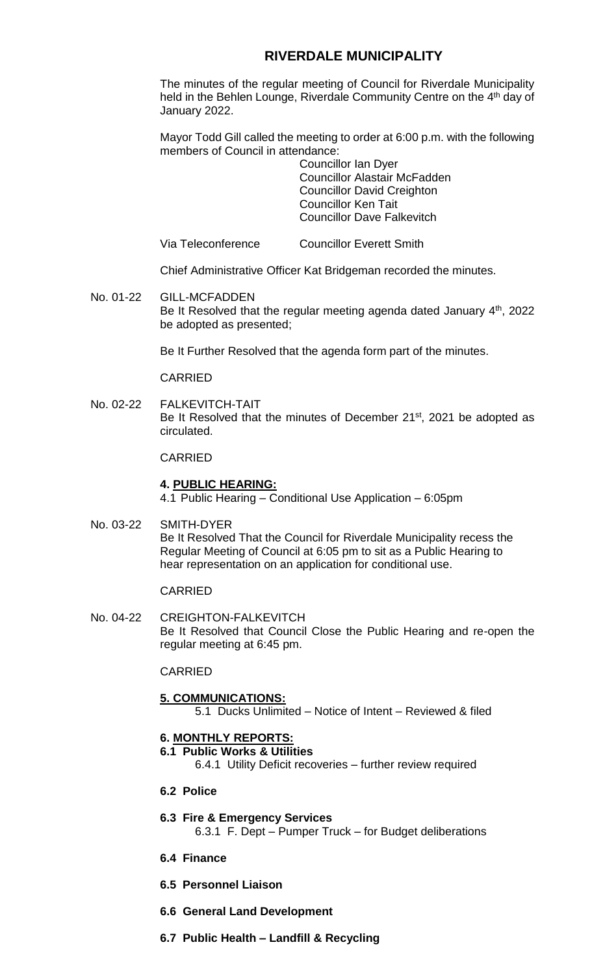# **RIVERDALE MUNICIPALITY**

The minutes of the regular meeting of Council for Riverdale Municipality held in the Behlen Lounge, Riverdale Community Centre on the 4<sup>th</sup> day of January 2022.

Mayor Todd Gill called the meeting to order at 6:00 p.m. with the following members of Council in attendance:

Councillor Ian Dyer Councillor Alastair McFadden Councillor David Creighton Councillor Ken Tait Councillor Dave Falkevitch

Via Teleconference Councillor Everett Smith

Chief Administrative Officer Kat Bridgeman recorded the minutes.

No. 01-22 GILL-MCFADDEN Be It Resolved that the regular meeting agenda dated January 4<sup>th</sup>, 2022 be adopted as presented;

Be It Further Resolved that the agenda form part of the minutes.

#### CARRIED

No. 02-22 FALKEVITCH-TAIT Be It Resolved that the minutes of December 21<sup>st</sup>, 2021 be adopted as circulated.

#### CARRIED

### **4. PUBLIC HEARING:**

4.1 Public Hearing – Conditional Use Application – 6:05pm

No. 03-22 SMITH-DYER Be It Resolved That the Council for Riverdale Municipality recess the Regular Meeting of Council at 6:05 pm to sit as a Public Hearing to hear representation on an application for conditional use.

#### CARRIED

No. 04-22 CREIGHTON-FALKEVITCH Be It Resolved that Council Close the Public Hearing and re-open the regular meeting at 6:45 pm.

#### CARRIED

**5. COMMUNICATIONS:** 5.1 Ducks Unlimited – Notice of Intent – Reviewed & filed

# **6. MONTHLY REPORTS:**

**6.1 Public Works & Utilities**

6.4.1 Utility Deficit recoveries – further review required

- **6.2 Police**
- **6.3 Fire & Emergency Services** 6.3.1 F. Dept – Pumper Truck – for Budget deliberations
- **6.4 Finance**
- **6.5 Personnel Liaison**
- **6.6 General Land Development**
- **6.7 Public Health – Landfill & Recycling**